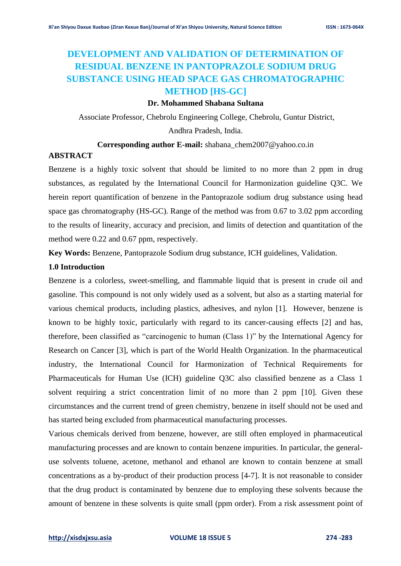# **DEVELOPMENT AND VALIDATION OF DETERMINATION OF RESIDUAL BENZENE IN PANTOPRAZOLE SODIUM DRUG SUBSTANCE USING HEAD SPACE GAS CHROMATOGRAPHIC METHOD [HS-GC]**

## **Dr. Mohammed Shabana Sultana**

Associate Professor, Chebrolu Engineering College, Chebrolu, Guntur District,

Andhra Pradesh, India.

## **Corresponding author E-mail:** shabana\_chem2007@yahoo.co.in

## **ABSTRACT**

Benzene is a highly toxic solvent that should be limited to no more than 2 ppm in drug substances, as regulated by the International Council for Harmonization guideline Q3C. We herein report quantification of benzene in the Pantoprazole sodium drug substance using head space gas chromatography (HS-GC). Range of the method was from 0.67 to 3.02 ppm according to the results of linearity, accuracy and precision, and limits of detection and quantitation of the method were 0.22 and 0.67 ppm, respectively.

**Key Words:** Benzene, Pantoprazole Sodium drug substance, ICH guidelines, Validation.

#### **1.0 Introduction**

Benzene is a colorless, sweet-smelling, and flammable liquid that is present in crude oil and gasoline. This compound is not only widely used as a solvent, but also as a starting material for various chemical products, including plastics, adhesives, and nylon [1]. However, benzene is known to be highly toxic, particularly with regard to its cancer-causing effects [2] and has, therefore, been classified as "carcinogenic to human (Class 1)" by the International Agency for Research on Cancer [3], which is part of the World Health Organization. In the pharmaceutical industry, the International Council for Harmonization of Technical Requirements for Pharmaceuticals for Human Use (ICH) guideline Q3C also classified benzene as a Class 1 solvent requiring a strict concentration limit of no more than 2 ppm [10]. Given these circumstances and the current trend of green chemistry, benzene in itself should not be used and has started being excluded from pharmaceutical manufacturing processes.

Various chemicals derived from benzene, however, are still often employed in pharmaceutical manufacturing processes and are known to contain benzene impurities. In particular, the generaluse solvents toluene, acetone, methanol and ethanol are known to contain benzene at small concentrations as a by-product of their production process [4-7]. It is not reasonable to consider that the drug product is contaminated by benzene due to employing these solvents because the amount of benzene in these solvents is quite small (ppm order). From a risk assessment point of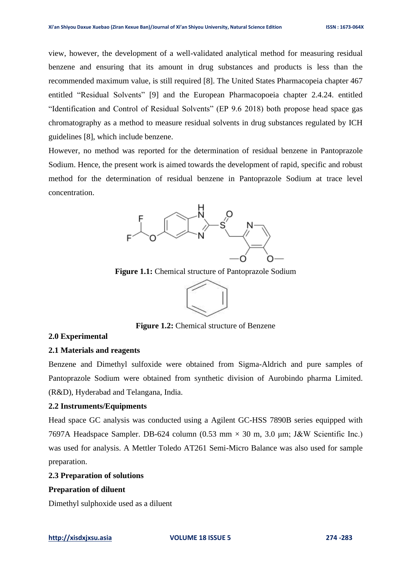view, however, the development of a well-validated analytical method for measuring residual benzene and ensuring that its amount in drug substances and products is less than the recommended maximum value, is still required [8]. The United States Pharmacopeia chapter 467 entitled "Residual Solvents" [9] and the European Pharmacopoeia chapter 2.4.24. entitled "Identification and Control of Residual Solvents" (EP 9.6 2018) both propose head space gas chromatography as a method to measure residual solvents in drug substances regulated by ICH guidelines [8], which include benzene.

However, no method was reported for the determination of residual benzene in Pantoprazole Sodium. Hence, the present work is aimed towards the development of rapid, specific and robust method for the determination of residual benzene in Pantoprazole Sodium at trace level concentration.



**Figure 1.1:** Chemical structure of Pantoprazole Sodium



**Figure 1.2:** Chemical structure of Benzene

## **2.0 Experimental**

#### **2.1 Materials and reagents**

Benzene and Dimethyl sulfoxide were obtained from Sigma-Aldrich and pure samples of Pantoprazole Sodium were obtained from synthetic division of Aurobindo pharma Limited. (R&D), Hyderabad and Telangana, India.

## **2.2 Instruments/Equipments**

Head space GC analysis was conducted using a Agilent GC-HSS 7890B series equipped with 7697A Headspace Sampler. DB-624 column  $(0.53 \text{ mm} \times 30 \text{ m}, 3.0 \text{ \mu m}; \text{J\&W}$  Scientific Inc.) was used for analysis. A Mettler Toledo AT261 Semi-Micro Balance was also used for sample preparation.

# **2.3 Preparation of solutions**

#### **Preparation of diluent**

Dimethyl sulphoxide used as a diluent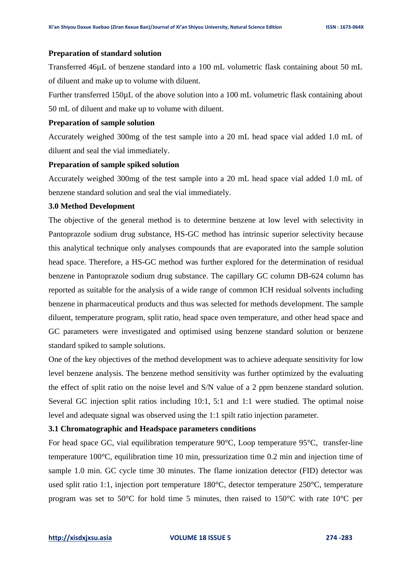#### **Preparation of standard solution**

Transferred 46µL of benzene standard into a 100 mL volumetric flask containing about 50 mL of diluent and make up to volume with diluent.

Further transferred 150µL of the above solution into a 100 mL volumetric flask containing about 50 mL of diluent and make up to volume with diluent.

## **Preparation of sample solution**

Accurately weighed 300mg of the test sample into a 20 mL head space vial added 1.0 mL of diluent and seal the vial immediately.

## **Preparation of sample spiked solution**

Accurately weighed 300mg of the test sample into a 20 mL head space vial added 1.0 mL of benzene standard solution and seal the vial immediately.

## **3.0 Method Development**

The objective of the general method is to determine benzene at low level with selectivity in Pantoprazole sodium drug substance, HS-GC method has intrinsic superior selectivity because this analytical technique only analyses compounds that are evaporated into the sample solution head space. Therefore, a HS-GC method was further explored for the determination of residual benzene in Pantoprazole sodium drug substance. The capillary GC column DB-624 column has reported as suitable for the analysis of a wide range of common ICH residual solvents including benzene in pharmaceutical products and thus was selected for methods development. The sample diluent, temperature program, split ratio, head space oven temperature, and other head space and GC parameters were investigated and optimised using benzene standard solution or benzene standard spiked to sample solutions.

One of the key objectives of the method development was to achieve adequate sensitivity for low level benzene analysis. The benzene method sensitivity was further optimized by the evaluating the effect of split ratio on the noise level and S/N value of a 2 ppm benzene standard solution. Several GC injection split ratios including 10:1, 5:1 and 1:1 were studied. The optimal noise level and adequate signal was observed using the 1:1 spilt ratio injection parameter.

#### **3.1 Chromatographic and Headspace parameters conditions**

For head space GC, vial equilibration temperature 90°C, Loop temperature 95°C, transfer-line temperature 100°C, equilibration time 10 min, pressurization time 0.2 min and injection time of sample 1.0 min. GC cycle time 30 minutes. The flame ionization detector (FID) detector was used split ratio 1:1, injection port temperature 180°C, detector temperature 250°C, temperature program was set to 50°C for hold time 5 minutes, then raised to 150°C with rate 10°C per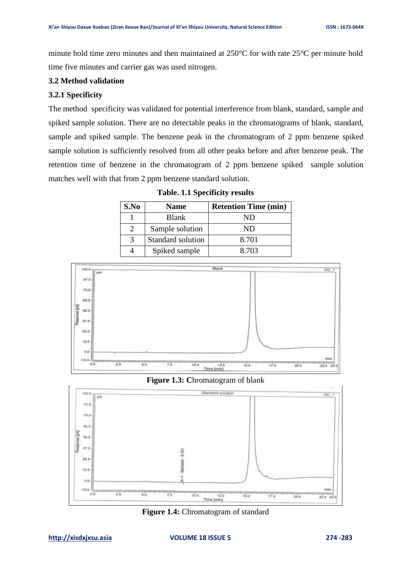minute hold time zero minutes and then maintained at 250°C for with rate 25°C per minute hold time five minutes and carrier gas was used nitrogen.

## **3.2 Method validation**

# **3.2.1 Specificity**

The method specificity was validated for potential interference from blank, standard, sample and spiked sample solution. There are no detectable peaks in the chromatograms of blank, standard, sample and spiked sample. The benzene peak in the chromatogram of 2 ppm benzene spiked sample solution is sufficiently resolved from all other peaks before and after benzene peak. The retention time of benzene in the chromatogram of 2 ppm benzene spiked sample solution matches well with that from 2 ppm benzene standard solution.

| S.No | <b>Name</b>       | <b>Retention Time (min)</b> |
|------|-------------------|-----------------------------|
|      | <b>Blank</b>      | ND                          |
|      | Sample solution   | ND                          |
| 3    | Standard solution | 8.701                       |
|      | Spiked sample     | 8.703                       |

**Table. 1.1 Specificity results**







**Figure 1.4:** Chromatogram of standard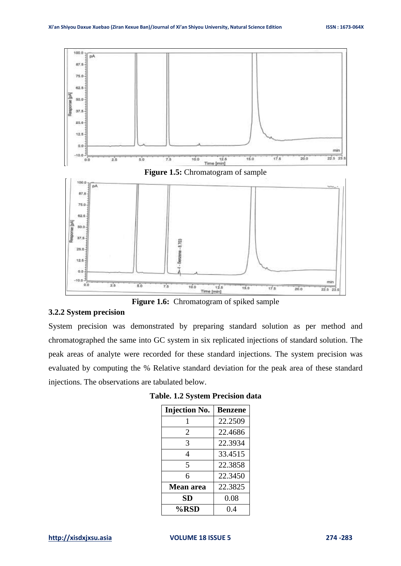



**Figure 1.6:** Chromatogram of spiked sample

#### **3.2.2 System precision**

System precision was demonstrated by preparing standard solution as per method and chromatographed the same into GC system in six replicated injections of standard solution. The peak areas of analyte were recorded for these standard injections. The system precision was evaluated by computing the % Relative standard deviation for the peak area of these standard injections. The observations are tabulated below.

| <b>Injection No.</b> | <b>Benzene</b> |
|----------------------|----------------|
|                      | 22.2509        |
| 2                    | 22.4686        |
| 3                    | 22.3934        |
| 4                    | 33.4515        |
| 5                    | 22.3858        |
| 6                    | 22.3450        |
| <b>Mean area</b>     | 22.3825        |
| SD                   | 0.08           |
| %RSD                 | 0.4            |

**Table. 1.2 System Precision data**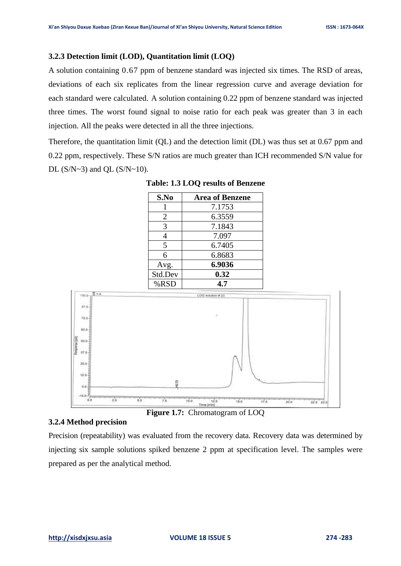# **3.2.3 Detection limit (LOD), Quantitation limit (LOQ)**

A solution containing 0.67 ppm of benzene standard was injected six times. The RSD of areas, deviations of each six replicates from the linear regression curve and average deviation for each standard were calculated. A solution containing 0.22 ppm of benzene standard was injected three times. The worst found signal to noise ratio for each peak was greater than 3 in each injection. All the peaks were detected in all the three injections.

Therefore, the quantitation limit (QL) and the detection limit (DL) was thus set at 0.67 ppm and 0.22 ppm, respectively. These S/N ratios are much greater than ICH recommended S/N value for DL  $(S/N~3)$  and QL  $(S/N~10)$ .

| S.No           | <b>Area of Benzene</b> |
|----------------|------------------------|
|                | 7.1753                 |
| $\overline{2}$ | 6.3559                 |
| 3              | 7.1843                 |
| 4              | 7.097                  |
| 5              | 6.7405                 |
| 6              | 6.8683                 |
| Avg.           | 6.9036                 |
| Std.Dev        | 0.32                   |
| %RSD           | 4.7                    |

**Table: 1.3 LOQ results of Benzene**



#### **3.2.4 Method precision**

**Figure 1.7:** Chromatogram of LOQ

Precision (repeatability) was evaluated from the recovery data. Recovery data was determined by injecting six sample solutions spiked benzene 2 ppm at specification level. The samples were prepared as per the analytical method.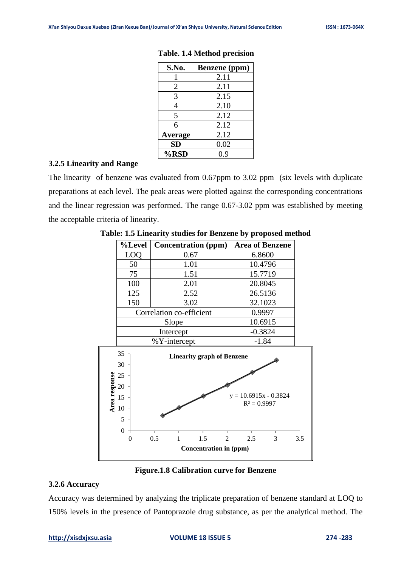| S.No.          | <b>Benzene</b> (ppm) |
|----------------|----------------------|
|                | 2.11                 |
| 2              | 2.11                 |
| 3              | 2.15                 |
| 4              | 2.10                 |
| 5              | 2.12                 |
| 6              | 2.12                 |
| <b>Average</b> | 2.12                 |
| <b>SD</b>      | 0.02                 |
| %RSD           | 0.9                  |

## **Table. 1.4 Method precision**

# **3.2.5 Linearity and Range**

The linearity of benzene was evaluated from 0.67ppm to 3.02 ppm (six levels with duplicate preparations at each level. The peak areas were plotted against the corresponding concentrations and the linear regression was performed. The range 0.67-3.02 ppm was established by meeting the acceptable criteria of linearity.

| %Level                                                 | <b>Concentration (ppm)</b> |                                   | <b>Area of Benzene</b>                    |   |     |
|--------------------------------------------------------|----------------------------|-----------------------------------|-------------------------------------------|---|-----|
| LOQ                                                    | 0.67                       |                                   | 6.8600                                    |   |     |
| 50                                                     |                            | 1.01                              |                                           |   |     |
| 75                                                     |                            | 10.4796<br>15.7719<br>1.51        |                                           |   |     |
| 100                                                    | 2.01                       |                                   | 20.8045                                   |   |     |
| 125                                                    | 2.52                       |                                   | 26.5136                                   |   |     |
| 150                                                    | 3.02                       |                                   | 32.1023                                   |   |     |
|                                                        | Correlation co-efficient   |                                   | 0.9997                                    |   |     |
|                                                        | Slope                      |                                   | 10.6915                                   |   |     |
|                                                        | Intercept                  |                                   | $-0.3824$                                 |   |     |
|                                                        | %Y-intercept               |                                   | $-1.84$                                   |   |     |
| 35<br>30<br>Area response<br>25<br>20<br>15<br>10<br>5 |                            | <b>Linearity graph of Benzene</b> | $y = 10.6915x - 0.3824$<br>$R^2 = 0.9997$ |   |     |
| $\theta$<br>$\overline{0}$                             | 0.5<br>1                   | 1.5<br>$\overline{2}$             | 2.5                                       | 3 | 3.5 |
|                                                        |                            | <b>Concentration in (ppm)</b>     |                                           |   |     |

**Table: 1.5 Linearity studies for Benzene by proposed method**

## **Figure.1.8 Calibration curve for Benzene**

# **3.2.6 Accuracy**

Accuracy was determined by analyzing the triplicate preparation of benzene standard at LOQ to 150% levels in the presence of Pantoprazole drug substance, as per the analytical method. The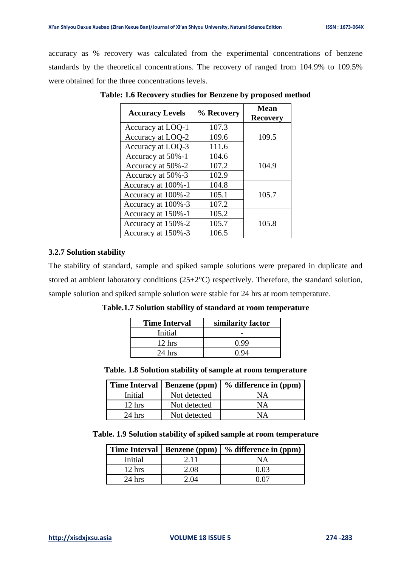accuracy as % recovery was calculated from the experimental concentrations of benzene standards by the theoretical concentrations. The recovery of ranged from 104.9% to 109.5% were obtained for the three concentrations levels.

| <b>Accuracy Levels</b> | % Recovery | <b>Mean</b><br><b>Recovery</b> |
|------------------------|------------|--------------------------------|
| Accuracy at LOQ-1      | 107.3      |                                |
| Accuracy at LOQ-2      | 109.6      | 109.5                          |
| Accuracy at LOQ-3      | 111.6      |                                |
| Accuracy at 50%-1      | 104.6      |                                |
| Accuracy at 50%-2      | 107.2      | 104.9                          |
| Accuracy at 50%-3      | 102.9      |                                |
| Accuracy at 100%-1     | 104.8      |                                |
| Accuracy at 100%-2     | 105.1      | 105.7                          |
| Accuracy at 100%-3     | 107.2      |                                |
| Accuracy at 150%-1     | 105.2      |                                |
| Accuracy at 150%-2     | 105.7      | 105.8                          |
| Accuracy at 150%-3     | 106.5      |                                |

**Table: 1.6 Recovery studies for Benzene by proposed method**

# **3.2.7 Solution stability**

The stability of standard, sample and spiked sample solutions were prepared in duplicate and stored at ambient laboratory conditions (25±2°C) respectively. Therefore, the standard solution, sample solution and spiked sample solution were stable for 24 hrs at room temperature.

|  | Table.1.7 Solution stability of standard at room temperature                                                                                                                                                                                                                                     |  |  |
|--|--------------------------------------------------------------------------------------------------------------------------------------------------------------------------------------------------------------------------------------------------------------------------------------------------|--|--|
|  | $\mathbf{F}$ and $\mathbf{F}$ and $\mathbf{F}$ and $\mathbf{F}$ and $\mathbf{F}$ and $\mathbf{F}$ and $\mathbf{F}$ and $\mathbf{F}$ and $\mathbf{F}$ and $\mathbf{F}$ and $\mathbf{F}$ and $\mathbf{F}$ and $\mathbf{F}$ and $\mathbf{F}$ and $\mathbf{F}$ and $\mathbf{F}$ and $\mathbf{F}$ and |  |  |

| <b>Time Interval</b> | similarity factor |
|----------------------|-------------------|
| Initial              |                   |
| $12$ hrs             | በ 99              |
| $24$ hrs             |                   |

**Table. 1.8 Solution stability of sample at room temperature**

| <b>Time Interval</b> | <b>Benzene</b> (ppm) | $%$ difference in (ppm) |
|----------------------|----------------------|-------------------------|
| Initial              | Not detected         | NΑ                      |
| $12$ hrs             | Not detected         | NΑ                      |
| $24$ hrs             | Not detected         | NА                      |

| Table. 1.9 Solution stability of spiked sample at room temperature |
|--------------------------------------------------------------------|
|--------------------------------------------------------------------|

|                  | Time Interval   Benzene (ppm) | $\frac{1}{2}$ % difference in (ppm) |
|------------------|-------------------------------|-------------------------------------|
| Initial          | 2.11                          | NΑ                                  |
| $12 \text{ hrs}$ | 2.08                          | 0.03                                |
| $24$ hrs         | 2. O4                         |                                     |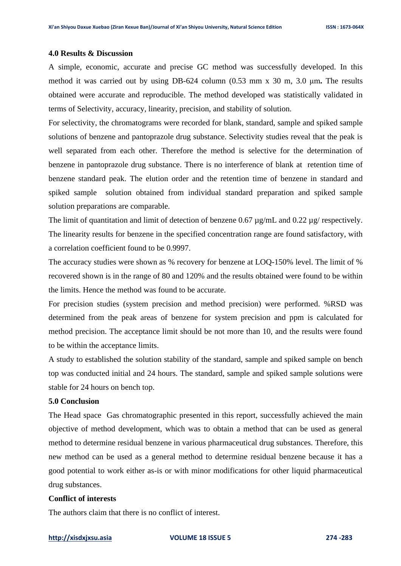#### **4.0 Results & Discussion**

A simple, economic, accurate and precise GC method was successfully developed. In this method it was carried out by using DB-624 column (0.53 mm x 30 m, 3.0 μm**.** The results obtained were accurate and reproducible. The method developed was statistically validated in terms of Selectivity, accuracy, linearity, precision, and stability of solution.

For selectivity, the chromatograms were recorded for blank, standard, sample and spiked sample solutions of benzene and pantoprazole drug substance. Selectivity studies reveal that the peak is well separated from each other. Therefore the method is selective for the determination of benzene in pantoprazole drug substance. There is no interference of blank at retention time of benzene standard peak. The elution order and the retention time of benzene in standard and spiked sample solution obtained from individual standard preparation and spiked sample solution preparations are comparable.

The limit of quantitation and limit of detection of benzene 0.67  $\mu$ g/mL and 0.22  $\mu$ g/ respectively. The linearity results for benzene in the specified concentration range are found satisfactory, with a correlation coefficient found to be 0.9997.

The accuracy studies were shown as % recovery for benzene at LOQ-150% level. The limit of % recovered shown is in the range of 80 and 120% and the results obtained were found to be within the limits. Hence the method was found to be accurate.

For precision studies (system precision and method precision) were performed. %RSD was determined from the peak areas of benzene for system precision and ppm is calculated for method precision. The acceptance limit should be not more than 10, and the results were found to be within the acceptance limits.

A study to established the solution stability of the standard, sample and spiked sample on bench top was conducted initial and 24 hours. The standard, sample and spiked sample solutions were stable for 24 hours on bench top.

## **5.0 Conclusion**

The Head space Gas chromatographic presented in this report, successfully achieved the main objective of method development, which was to obtain a method that can be used as general method to determine residual benzene in various pharmaceutical drug substances. Therefore, this new method can be used as a general method to determine residual benzene because it has a good potential to work either as-is or with minor modifications for other liquid pharmaceutical drug substances.

# **Conflict of interests**

The authors claim that there is no conflict of interest.